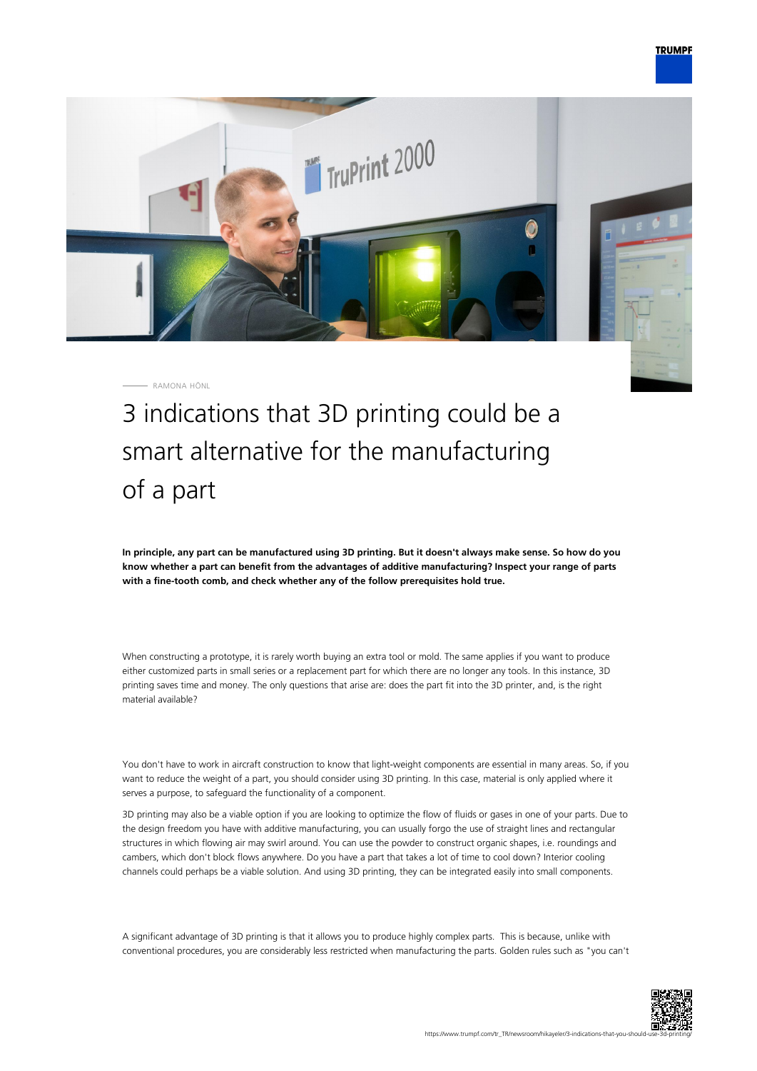

RAMONA HÖNL

3 indications that 3D printing could be a smart alternative for the manufacturing of a part

**In principle, any part can be manufactured using 3D printing. But it doesn't always make sense. So how do you know whether a part can benefit from the advantages of additive manufacturing? Inspect your range of parts with a fine-tooth comb, and check whether any of the follow prerequisites hold true.**

When constructing a prototype, it is rarely worth buying an extra tool or mold. The same applies if you want to produce either customized parts in small series or a replacement part for which there are no longer any tools. In this instance, 3D printing saves time and money. The only questions that arise are: does the part fit into the 3D printer, and, is the right material available?

You don't have to work in aircraft construction to know that light-weight components are essential in many areas. So, if you want to reduce the weight of a part, you should consider using 3D printing. In this case, material is only applied where it serves a purpose, to safeguard the functionality of a component.

3D printing may also be a viable option if you are looking to optimize the flow of fluids or gases in one of your parts. Due to the design freedom you have with additive manufacturing, you can usually forgo the use of straight lines and rectangular structures in which flowing air may swirl around. You can use the powder to construct organic shapes, i.e. roundings and cambers, which don't block flows anywhere. Do you have a part that takes a lot of time to cool down? Interior cooling channels could perhaps be a viable solution. And using 3D printing, they can be integrated easily into small components.

A significant advantage of 3D printing is that it allows you to produce highly complex parts. This is because, unlike with conventional procedures, you are considerably less restricted when manufacturing the parts. Golden rules such as "you can't